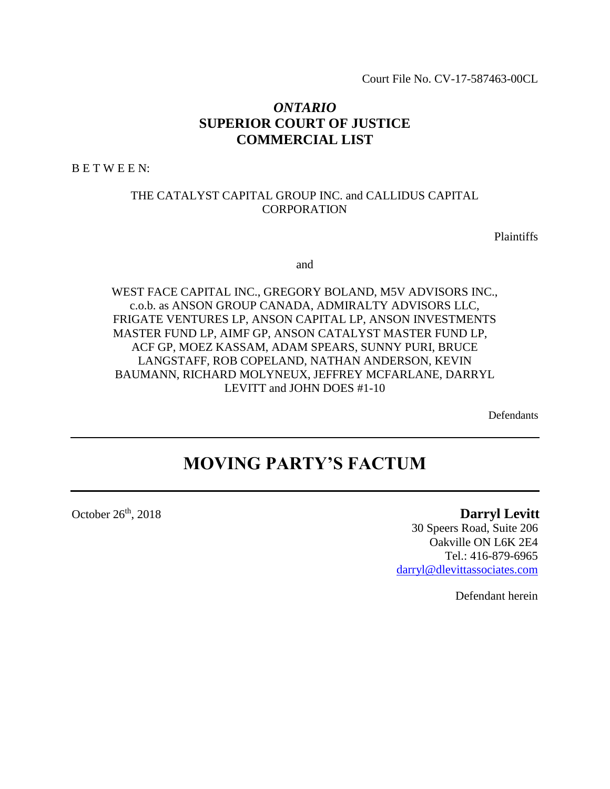Court File No. CV-17-587463-00CL

## *ONTARIO* **SUPERIOR COURT OF JUSTICE COMMERCIAL LIST**

B E T W E E N:

## THE CATALYST CAPITAL GROUP INC. and CALLIDUS CAPITAL CORPORATION

Plaintiffs

and

WEST FACE CAPITAL INC., GREGORY BOLAND, M5V ADVISORS INC., c.o.b. as ANSON GROUP CANADA, ADMIRALTY ADVISORS LLC, FRIGATE VENTURES LP, ANSON CAPITAL LP, ANSON INVESTMENTS MASTER FUND LP, AIMF GP, ANSON CATALYST MASTER FUND LP, ACF GP, MOEZ KASSAM, ADAM SPEARS, SUNNY PURI, BRUCE LANGSTAFF, ROB COPELAND, NATHAN ANDERSON, KEVIN BAUMANN, RICHARD MOLYNEUX, JEFFREY MCFARLANE, DARRYL LEVITT and JOHN DOES #1-10

Defendants

# **MOVING PARTY'S FACTUM**

October 26<sup>th</sup>

## **Darryl Levitt**

30 Speers Road, Suite 206 Oakville ON L6K 2E4 Tel.: 416-879-6965 [darryl@dlevittassociates.com](mailto:darryl@dlevittassociates.com)

Defendant herein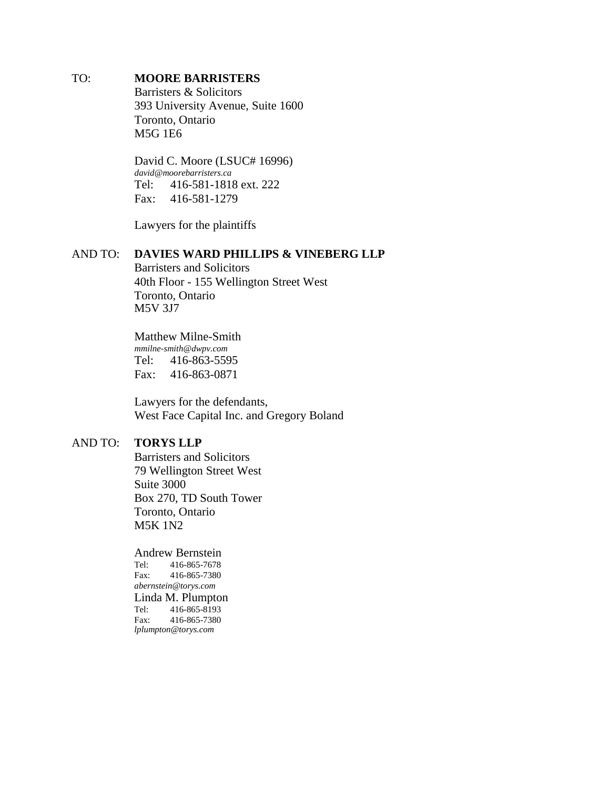### TO: **MOORE BARRISTERS**

Barristers & Solicitors 393 University Avenue, Suite 1600 Toronto, Ontario M5G 1E6

David C. Moore (LSUC# 16996) *[david@moorebarristers.ca](mailto:david@moorebarristers.ca)* Tel: 416-581-1818 ext. 222 Fax: 416-581-1279

Lawyers for the plaintiffs

### AND TO: **DAVIES WARD PHILLIPS & VINEBERG LLP**

Barristers and Solicitors 40th Floor - 155 Wellington Street West Toronto, Ontario M5V 3J7

Matthew Milne-Smith *[mmilne-smith@dwpv.com](mailto:mmilne-smith@dwpv.com)* Tel: 416-863-5595 Fax: 416-863-0871

Lawyers for the defendants, West Face Capital Inc. and Gregory Boland

#### AND TO: **TORYS LLP**

Barristers and Solicitors 79 Wellington Street West Suite 3000 Box 270, TD South Tower Toronto, Ontario M5K 1N2

Andrew Bernstein Tel: 416-865-7678 Fax: 416-865-7380 *[abernstein@torys.com](mailto:abernstein@torys.com)* Linda M. Plumpton Tel: 416-865-8193 Fax: 416-865-7380 *[lplumpton@torys.com](mailto:lplumpton@torys.com)*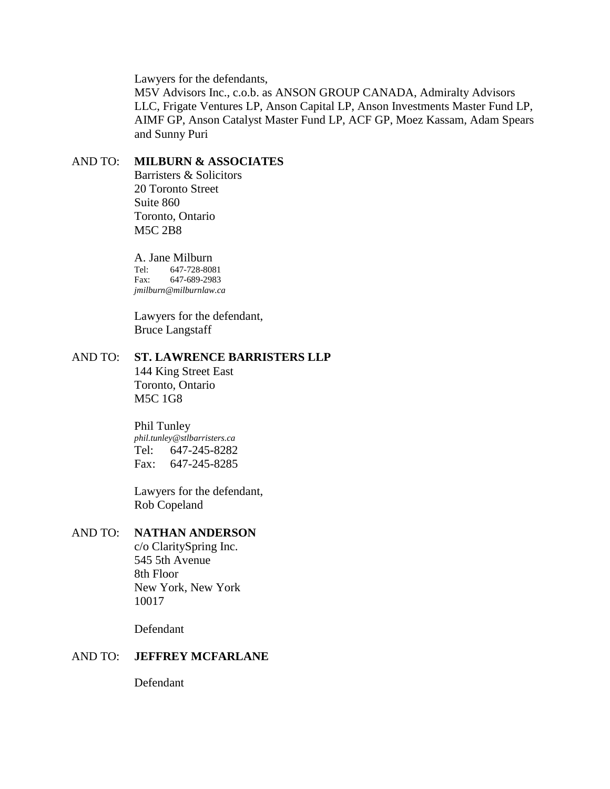Lawyers for the defendants,

M5V Advisors Inc., c.o.b. as ANSON GROUP CANADA, Admiralty Advisors LLC, Frigate Ventures LP, Anson Capital LP, Anson Investments Master Fund LP, AIMF GP, Anson Catalyst Master Fund LP, ACF GP, Moez Kassam, Adam Spears and Sunny Puri

## AND TO: **MILBURN & ASSOCIATES**

Barristers & Solicitors 20 Toronto Street Suite 860 Toronto, Ontario M5C 2B8

A. Jane Milburn<br>Tel: 647-728-808 Tel: 647-728-8081<br>Fax: 647-689-2983 Fax: 647-689-2983 *[jmilburn@milburnlaw.ca](mailto:jmilburn@milburnlaw.ca)*

Lawyers for the defendant, Bruce Langstaff

## AND TO: **ST. LAWRENCE BARRISTERS LLP**

144 King Street East Toronto, Ontario M5C 1G8

## Phil Tunley

*[phil.tunley@stlbarristers.ca](mailto:phil.tunley@stlbarristers.ca)* Tel: 647-245-8282 Fax: 647-245-8285

Lawyers for the defendant, Rob Copeland

### AND TO: **NATHAN ANDERSON**

c/o ClaritySpring Inc. 545 5th Avenue 8th Floor New York, New York 10017

Defendant

#### AND TO: **JEFFREY MCFARLANE**

Defendant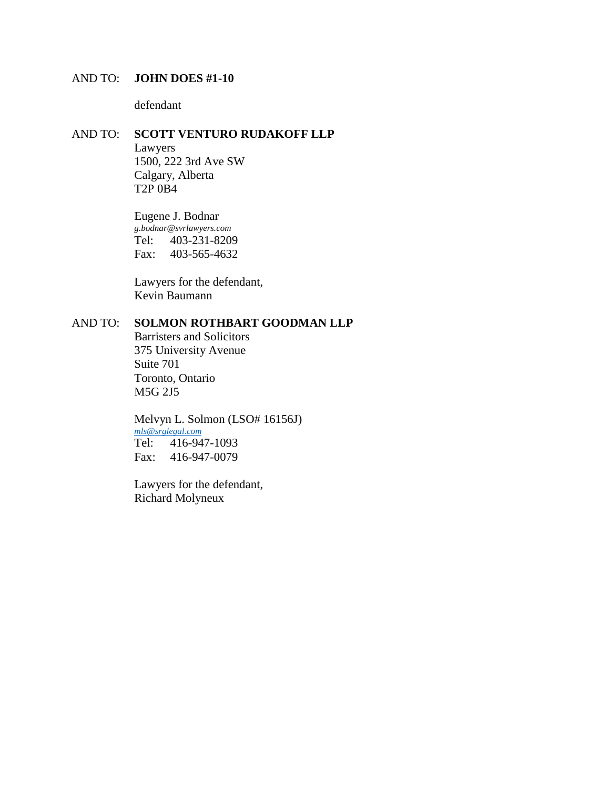## AND TO: **JOHN DOES #1-10**

defendant

#### AND TO: **SCOTT VENTURO RUDAKOFF LLP**

Lawyers 1500, 222 3rd Ave SW Calgary, Alberta T2P 0B4

Eugene J. Bodnar *[g.bodnar@svrlawyers.com](mailto:g.bodnar@svrlawyers.com)* Tel: 403-231-8209 Fax: 403-565-4632

Lawyers for the defendant, Kevin Baumann

## AND TO: **SOLMON ROTHBART GOODMAN LLP**

Barristers and Solicitors 375 University Avenue Suite 701 Toronto, Ontario M5G 2J5

Melvyn L. Solmon (LSO# 16156J) *[mls@srglegal.com](mailto:mls@srglegal.com)* Tel: 416-947-1093 Fax: 416-947-0079

Lawyers for the defendant, Richard Molyneux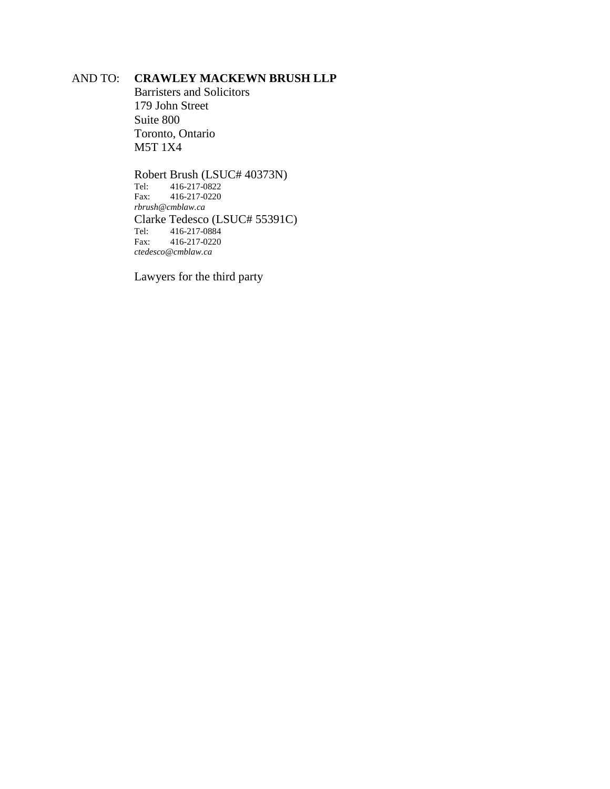## AND TO: **CRAWLEY MACKEWN BRUSH LLP**

Barristers and Solicitors 179 John Street Suite 800 Toronto, Ontario M5T 1X4

Robert Brush (LSUC# 40373N)<br>Tel: 416-217-0822 Tel: 416-217-0822<br>Fax: 416-217-0220 Fax: 416-217-0220 *[rbrush@cmblaw.ca](mailto:rbrush@cmblaw.ca)* Clarke Tedesco (LSUC# 55391C) Tel: 416-217-0884 Fax: 416-217-0220 *[ctedesco@cmblaw.ca](mailto:ctedesco@cmblaw.ca)*

Lawyers for the third party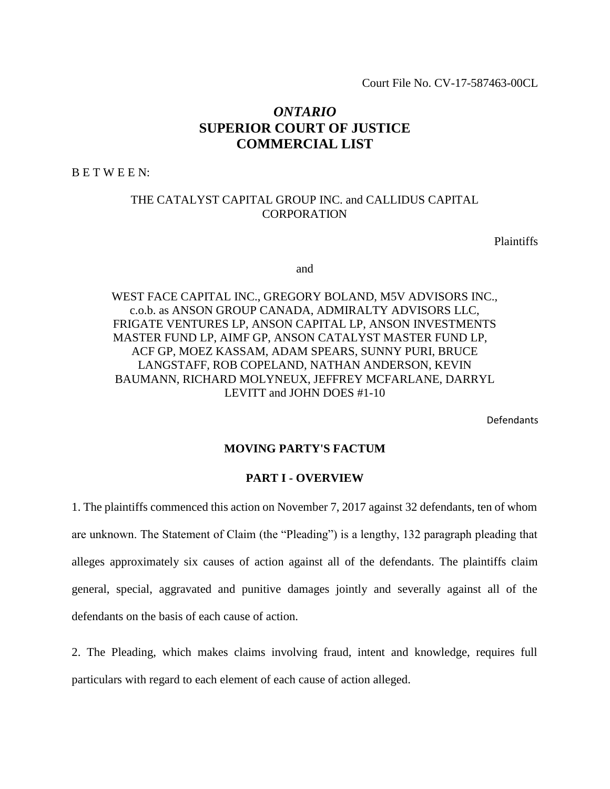Court File No. CV-17-587463-00CL

## *ONTARIO* **SUPERIOR COURT OF JUSTICE COMMERCIAL LIST**

B E T W E E N:

## THE CATALYST CAPITAL GROUP INC. and CALLIDUS CAPITAL **CORPORATION**

**Plaintiffs** 

and

WEST FACE CAPITAL INC., GREGORY BOLAND, M5V ADVISORS INC., c.o.b. as ANSON GROUP CANADA, ADMIRALTY ADVISORS LLC, FRIGATE VENTURES LP, ANSON CAPITAL LP, ANSON INVESTMENTS MASTER FUND LP, AIMF GP, ANSON CATALYST MASTER FUND LP, ACF GP, MOEZ KASSAM, ADAM SPEARS, SUNNY PURI, BRUCE LANGSTAFF, ROB COPELAND, NATHAN ANDERSON, KEVIN BAUMANN, RICHARD MOLYNEUX, JEFFREY MCFARLANE, DARRYL LEVITT and JOHN DOES #1-10

Defendants

#### **MOVING PARTY'S FACTUM**

### **PART I - OVERVIEW**

1. The plaintiffs commenced this action on November 7, 2017 against 32 defendants, ten of whom are unknown. The Statement of Claim (the "Pleading") is a lengthy, 132 paragraph pleading that alleges approximately six causes of action against all of the defendants. The plaintiffs claim general, special, aggravated and punitive damages jointly and severally against all of the defendants on the basis of each cause of action.

2. The Pleading, which makes claims involving fraud, intent and knowledge, requires full particulars with regard to each element of each cause of action alleged.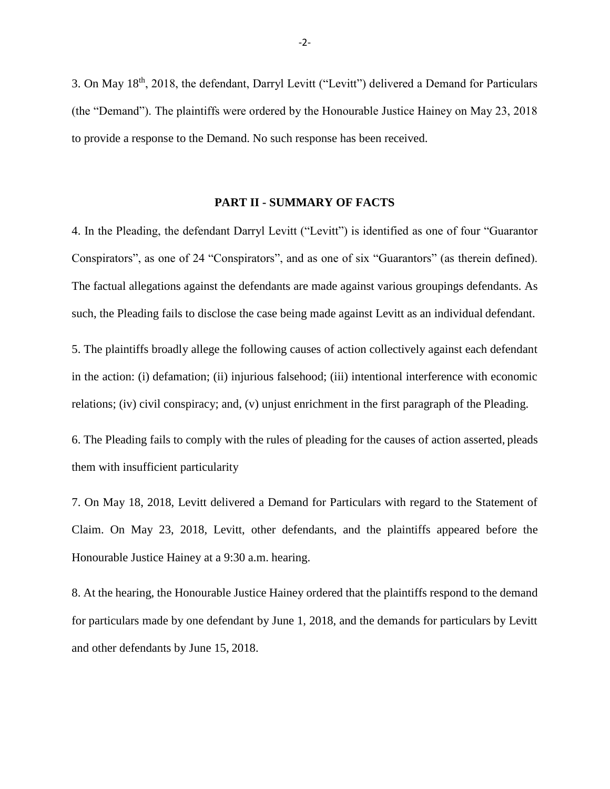3. On May 18th, 2018, the defendant, Darryl Levitt ("Levitt") delivered a Demand for Particulars (the "Demand"). The plaintiffs were ordered by the Honourable Justice Hainey on May 23, 2018 to provide a response to the Demand. No such response has been received.

#### **PART II - SUMMARY OF FACTS**

4. In the Pleading, the defendant Darryl Levitt ("Levitt") is identified as one of four "Guarantor Conspirators", as one of 24 "Conspirators", and as one of six "Guarantors" (as therein defined). The factual allegations against the defendants are made against various groupings defendants. As such, the Pleading fails to disclose the case being made against Levitt as an individual defendant.

5. The plaintiffs broadly allege the following causes of action collectively against each defendant in the action: (i) defamation; (ii) injurious falsehood; (iii) intentional interference with economic relations; (iv) civil conspiracy; and, (v) unjust enrichment in the first paragraph of the Pleading.

6. The Pleading fails to comply with the rules of pleading for the causes of action asserted, pleads them with insufficient particularity

7. On May 18, 2018, Levitt delivered a Demand for Particulars with regard to the Statement of Claim. On May 23, 2018, Levitt, other defendants, and the plaintiffs appeared before the Honourable Justice Hainey at a 9:30 a.m. hearing.

8. At the hearing, the Honourable Justice Hainey ordered that the plaintiffs respond to the demand for particulars made by one defendant by June 1, 2018, and the demands for particulars by Levitt and other defendants by June 15, 2018.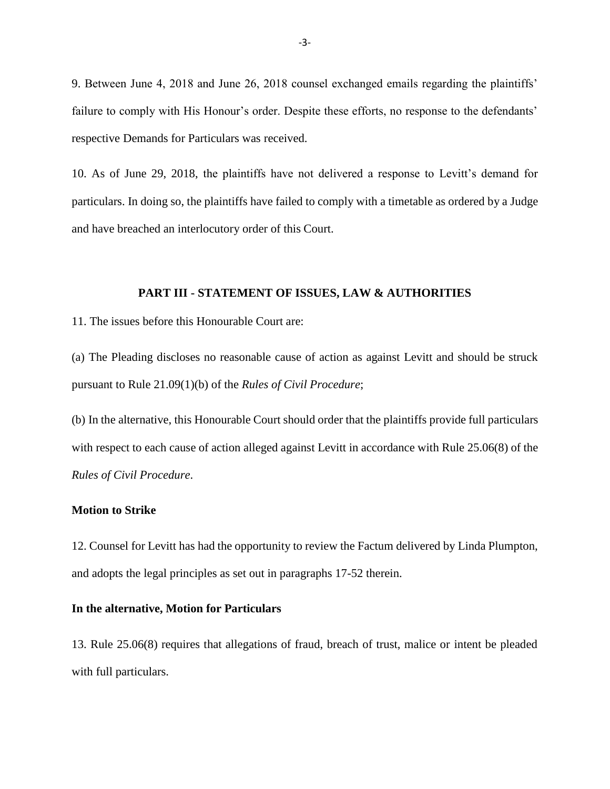9. Between June 4, 2018 and June 26, 2018 counsel exchanged emails regarding the plaintiffs' failure to comply with His Honour's order. Despite these efforts, no response to the defendants' respective Demands for Particulars was received.

10. As of June 29, 2018, the plaintiffs have not delivered a response to Levitt's demand for particulars. In doing so, the plaintiffs have failed to comply with a timetable as ordered by a Judge and have breached an interlocutory order of this Court.

#### **PART III - STATEMENT OF ISSUES, LAW & AUTHORITIES**

11. The issues before this Honourable Court are:

(a) The Pleading discloses no reasonable cause of action as against Levitt and should be struck pursuant to Rule 21.09(1)(b) of the *Rules of Civil Procedure*;

(b) In the alternative, this Honourable Court should order that the plaintiffs provide full particulars with respect to each cause of action alleged against Levitt in accordance with Rule 25.06(8) of the *Rules of Civil Procedure*.

#### **Motion to Strike**

12. Counsel for Levitt has had the opportunity to review the Factum delivered by Linda Plumpton, and adopts the legal principles as set out in paragraphs 17-52 therein.

#### **In the alternative, Motion for Particulars**

13. Rule 25.06(8) requires that allegations of fraud, breach of trust, malice or intent be pleaded with full particulars.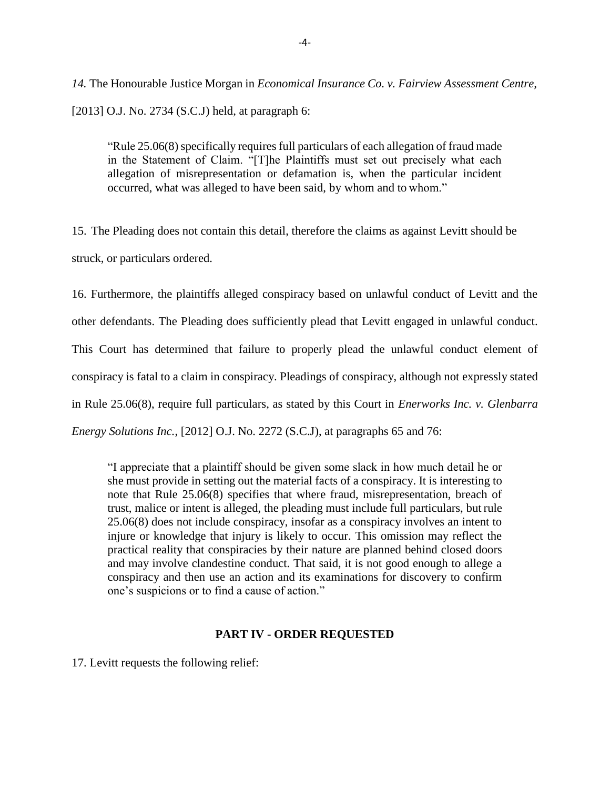*14.* The Honourable Justice Morgan in *Economical Insurance Co. v. Fairview Assessment Centre,* [2013] O.J. No. 2734 (S.C.J) held, at paragraph 6:

"Rule 25.06(8) specifically requires full particulars of each allegation of fraud made in the Statement of Claim. "[T]he Plaintiffs must set out precisely what each allegation of misrepresentation or defamation is, when the particular incident occurred, what was alleged to have been said, by whom and to whom."

15. The Pleading does not contain this detail, therefore the claims as against Levitt should be struck, or particulars ordered.

16. Furthermore, the plaintiffs alleged conspiracy based on unlawful conduct of Levitt and the other defendants. The Pleading does sufficiently plead that Levitt engaged in unlawful conduct. This Court has determined that failure to properly plead the unlawful conduct element of conspiracy is fatal to a claim in conspiracy. Pleadings of conspiracy, although not expressly stated in Rule 25.06(8), require full particulars, as stated by this Court in *Enerworks Inc. v. Glenbarra Energy Solutions Inc.*, [2012] O.J. No. 2272 (S.C.J), at paragraphs 65 and 76:

"I appreciate that a plaintiff should be given some slack in how much detail he or she must provide in setting out the material facts of a conspiracy. It is interesting to note that Rule 25.06(8) specifies that where fraud, misrepresentation, breach of trust, malice or intent is alleged, the pleading must include full particulars, but rule 25.06(8) does not include conspiracy, insofar as a conspiracy involves an intent to injure or knowledge that injury is likely to occur. This omission may reflect the practical reality that conspiracies by their nature are planned behind closed doors and may involve clandestine conduct. That said, it is not good enough to allege a conspiracy and then use an action and its examinations for discovery to confirm one's suspicions or to find a cause of action."

#### **PART IV - ORDER REQUESTED**

17. Levitt requests the following relief: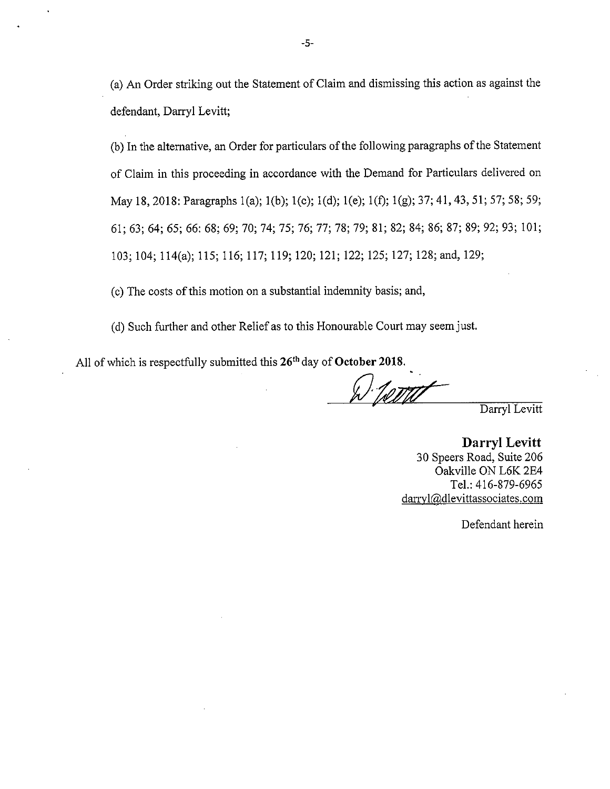(a) An Order striking out the Statement of Claim and dismissing this action as against the defendant, Darryl Levitt;

(b) In the alternative, an Order for particulars of the following paragraphs of the Statement of Claim in this proceeding in accordance with the Demand for Particulars delivered on May 18, 2018: Paragraphs 1(a); 1(b); 1(c); 1(d); 1(e); 1(f); 1(g); 37; 41, 43, 51; 57; 58; 59; 61; 63; 64; 65; 66: 68; 69; 70; 74; 75; 76; 77; 78; 79; 81; 82; 84; 86; 87; 89; 92; 93; 101; 103; 104; 114(a); 115; 116; 117; 119; 120; 121; 122; 125; 127; 128; and, 129;

(c) The costs of this motion on a substantial indemnity basis; and,

(d) Such further and other Relief as to this Honourable Court may seem just.

All of which is respectfully submitted this 26<sup>th</sup> day of October 2018.

<sup>1.</sup> Tomti

Darryl Levitt

Darryl Levitt 30 Speers Road, Suite 206 Oakville ON L6K 2E4 Tel.: 416-879-6965 darryl@dlevittassociates.com

Defendant herein